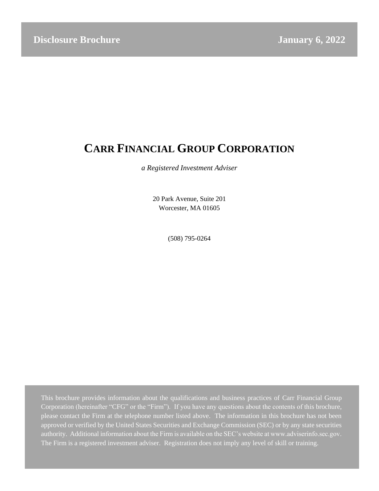# **CARR FINANCIAL GROUP CORPORATION**

*a Registered Investment Adviser*

20 Park Avenue, Suite 201 Worcester, MA 01605

(508) 795-0264

This brochure provides information about the qualifications and business practices of Carr Financial Group Corporation (hereinafter "CFG" or the "Firm"). If you have any questions about the contents of this brochure, please contact the Firm at the telephone number listed above. The information in this brochure has not been approved or verified by the United States Securities and Exchange Commission (SEC) or by any state securities authority. Additional information about the Firm is available on the SEC's website at www.adviserinfo.sec.gov. The Firm is a registered investment adviser. Registration does not imply any level of skill or training.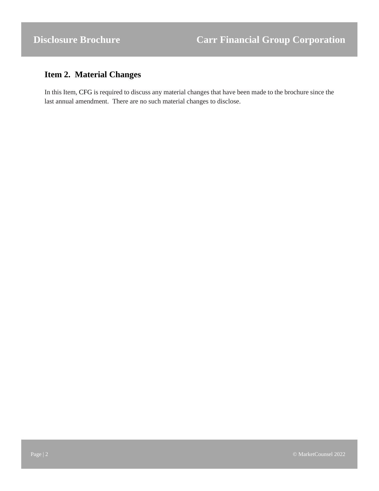## <span id="page-1-0"></span>**Item 2. Material Changes**

In this Item, CFG is required to discuss any material changes that have been made to the brochure since the last annual amendment. There are no such material changes to disclose.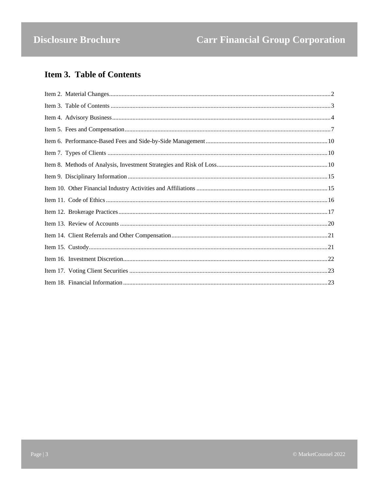# <span id="page-2-0"></span>**Item 3. Table of Contents**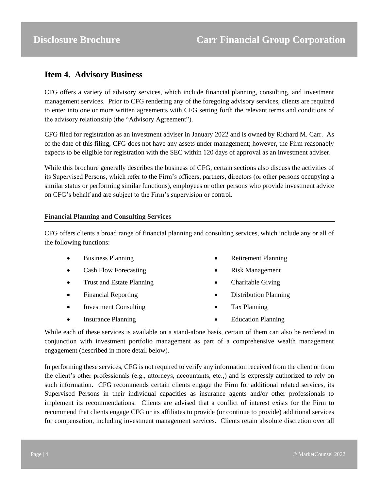### <span id="page-3-0"></span>**Item 4. Advisory Business**

CFG offers a variety of advisory services, which include financial planning, consulting, and investment management services. Prior to CFG rendering any of the foregoing advisory services, clients are required to enter into one or more written agreements with CFG setting forth the relevant terms and conditions of the advisory relationship (the "Advisory Agreement").

CFG filed for registration as an investment adviser in January 2022 and is owned by Richard M. Carr. As of the date of this filing, CFG does not have any assets under management; however, the Firm reasonably expects to be eligible for registration with the SEC within 120 days of approval as an investment adviser.

While this brochure generally describes the business of CFG, certain sections also discuss the activities of its Supervised Persons, which refer to the Firm's officers, partners, directors (or other persons occupying a similar status or performing similar functions), employees or other persons who provide investment advice on CFG's behalf and are subject to the Firm's supervision or control.

### **Financial Planning and Consulting Services**

CFG offers clients a broad range of financial planning and consulting services, which include any or all of the following functions:

- Business Planning
- Cash Flow Forecasting
- Trust and Estate Planning
- Financial Reporting
- Investment Consulting
- Insurance Planning
- Retirement Planning
- Risk Management
- Charitable Giving
- Distribution Planning
- Tax Planning
- Education Planning

While each of these services is available on a stand-alone basis, certain of them can also be rendered in conjunction with investment portfolio management as part of a comprehensive wealth management engagement (described in more detail below).

In performing these services, CFG is not required to verify any information received from the client or from the client's other professionals (e.g., attorneys, accountants, etc.,) and is expressly authorized to rely on such information. CFG recommends certain clients engage the Firm for additional related services, its Supervised Persons in their individual capacities as insurance agents and/or other professionals to implement its recommendations. Clients are advised that a conflict of interest exists for the Firm to recommend that clients engage CFG or its affiliates to provide (or continue to provide) additional services for compensation, including investment management services. Clients retain absolute discretion over all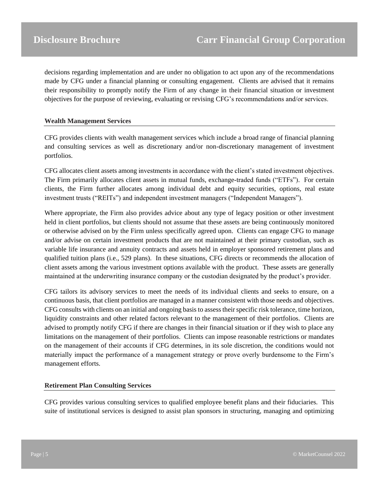decisions regarding implementation and are under no obligation to act upon any of the recommendations made by CFG under a financial planning or consulting engagement. Clients are advised that it remains their responsibility to promptly notify the Firm of any change in their financial situation or investment objectives for the purpose of reviewing, evaluating or revising CFG's recommendations and/or services.

#### **Wealth Management Services**

CFG provides clients with wealth management services which include a broad range of financial planning and consulting services as well as discretionary and/or non-discretionary management of investment portfolios.

CFG allocates client assets among investments in accordance with the client's stated investment objectives. The Firm primarily allocates client assets in mutual funds, exchange-traded funds ("ETFs"). For certain clients, the Firm further allocates among individual debt and equity securities, options, real estate investment trusts ("REITs") and independent investment managers ("Independent Managers").

Where appropriate, the Firm also provides advice about any type of legacy position or other investment held in client portfolios, but clients should not assume that these assets are being continuously monitored or otherwise advised on by the Firm unless specifically agreed upon. Clients can engage CFG to manage and/or advise on certain investment products that are not maintained at their primary custodian, such as variable life insurance and annuity contracts and assets held in employer sponsored retirement plans and qualified tuition plans (i.e., 529 plans). In these situations, CFG directs or recommends the allocation of client assets among the various investment options available with the product. These assets are generally maintained at the underwriting insurance company or the custodian designated by the product's provider.

CFG tailors its advisory services to meet the needs of its individual clients and seeks to ensure, on a continuous basis, that client portfolios are managed in a manner consistent with those needs and objectives. CFG consults with clients on an initial and ongoing basis to assess their specific risk tolerance, time horizon, liquidity constraints and other related factors relevant to the management of their portfolios. Clients are advised to promptly notify CFG if there are changes in their financial situation or if they wish to place any limitations on the management of their portfolios. Clients can impose reasonable restrictions or mandates on the management of their accounts if CFG determines, in its sole discretion, the conditions would not materially impact the performance of a management strategy or prove overly burdensome to the Firm's management efforts.

### **Retirement Plan Consulting Services**

CFG provides various consulting services to qualified employee benefit plans and their fiduciaries. This suite of institutional services is designed to assist plan sponsors in structuring, managing and optimizing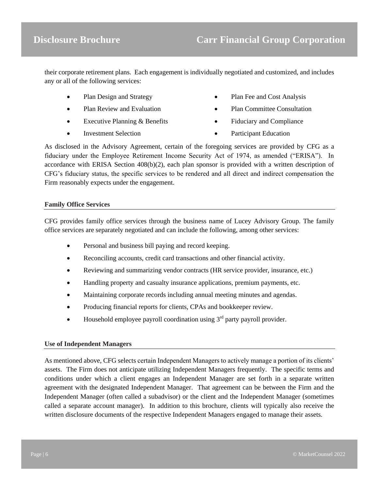their corporate retirement plans. Each engagement is individually negotiated and customized, and includes any or all of the following services:

- Plan Design and Strategy
- Plan Review and Evaluation
- Executive Planning & Benefits
- Investment Selection
- Plan Fee and Cost Analysis
- Plan Committee Consultation
- Fiduciary and Compliance
- Participant Education

As disclosed in the Advisory Agreement, certain of the foregoing services are provided by CFG as a fiduciary under the Employee Retirement Income Security Act of 1974, as amended ("ERISA"). In accordance with ERISA Section 408(b)(2), each plan sponsor is provided with a written description of CFG's fiduciary status, the specific services to be rendered and all direct and indirect compensation the Firm reasonably expects under the engagement.

#### **Family Office Services**

CFG provides family office services through the business name of Lucey Advisory Group. The family office services are separately negotiated and can include the following, among other services:

- Personal and business bill paying and record keeping.
- Reconciling accounts, credit card transactions and other financial activity.
- Reviewing and summarizing vendor contracts (HR service provider, insurance, etc.)
- Handling property and casualty insurance applications, premium payments, etc.
- Maintaining corporate records including annual meeting minutes and agendas.
- Producing financial reports for clients, CPAs and bookkeeper review.
- Household employee payroll coordination using  $3<sup>rd</sup>$  party payroll provider.

#### **Use of Independent Managers**

As mentioned above, CFG selects certain Independent Managers to actively manage a portion of its clients' assets. The Firm does not anticipate utilizing Independent Managers frequently. The specific terms and conditions under which a client engages an Independent Manager are set forth in a separate written agreement with the designated Independent Manager. That agreement can be between the Firm and the Independent Manager (often called a subadvisor) or the client and the Independent Manager (sometimes called a separate account manager). In addition to this brochure, clients will typically also receive the written disclosure documents of the respective Independent Managers engaged to manage their assets.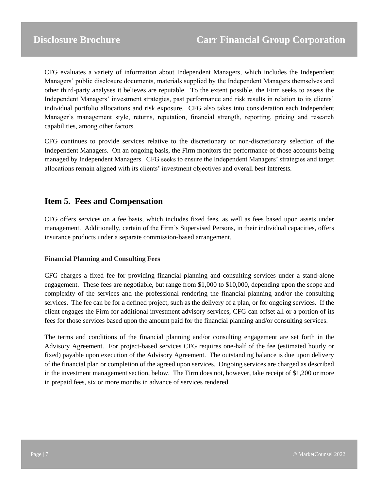CFG evaluates a variety of information about Independent Managers, which includes the Independent Managers' public disclosure documents, materials supplied by the Independent Managers themselves and other third-party analyses it believes are reputable. To the extent possible, the Firm seeks to assess the Independent Managers' investment strategies, past performance and risk results in relation to its clients' individual portfolio allocations and risk exposure. CFG also takes into consideration each Independent Manager's management style, returns, reputation, financial strength, reporting, pricing and research capabilities, among other factors.

CFG continues to provide services relative to the discretionary or non-discretionary selection of the Independent Managers. On an ongoing basis, the Firm monitors the performance of those accounts being managed by Independent Managers. CFG seeks to ensure the Independent Managers' strategies and target allocations remain aligned with its clients' investment objectives and overall best interests.

### <span id="page-6-0"></span>**Item 5. Fees and Compensation**

CFG offers services on a fee basis, which includes fixed fees, as well as fees based upon assets under management. Additionally, certain of the Firm's Supervised Persons, in their individual capacities, offers insurance products under a separate commission-based arrangement.

### **Financial Planning and Consulting Fees**

CFG charges a fixed fee for providing financial planning and consulting services under a stand-alone engagement. These fees are negotiable, but range from \$1,000 to \$10,000, depending upon the scope and complexity of the services and the professional rendering the financial planning and/or the consulting services. The fee can be for a defined project, such as the delivery of a plan, or for ongoing services. If the client engages the Firm for additional investment advisory services, CFG can offset all or a portion of its fees for those services based upon the amount paid for the financial planning and/or consulting services.

The terms and conditions of the financial planning and/or consulting engagement are set forth in the Advisory Agreement. For project-based services CFG requires one-half of the fee (estimated hourly or fixed) payable upon execution of the Advisory Agreement. The outstanding balance is due upon delivery of the financial plan or completion of the agreed upon services. Ongoing services are charged as described in the investment management section, below. The Firm does not, however, take receipt of \$1,200 or more in prepaid fees, six or more months in advance of services rendered.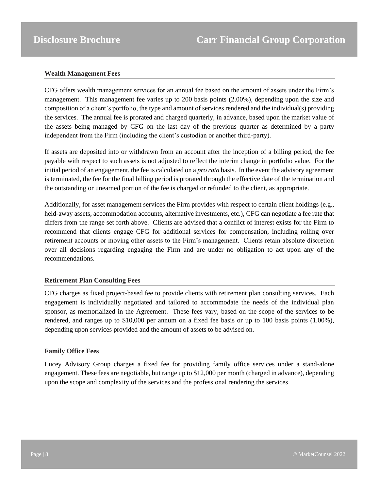#### **Wealth Management Fees**

CFG offers wealth management services for an annual fee based on the amount of assets under the Firm's management. This management fee varies up to 200 basis points (2.00%), depending upon the size and composition of a client's portfolio, the type and amount of services rendered and the individual(s) providing the services. The annual fee is prorated and charged quarterly, in advance, based upon the market value of the assets being managed by CFG on the last day of the previous quarter as determined by a party independent from the Firm (including the client's custodian or another third-party).

If assets are deposited into or withdrawn from an account after the inception of a billing period, the fee payable with respect to such assets is not adjusted to reflect the interim change in portfolio value. For the initial period of an engagement, the fee is calculated on a *pro rata* basis. In the event the advisory agreement is terminated, the fee for the final billing period is prorated through the effective date of the termination and the outstanding or unearned portion of the fee is charged or refunded to the client, as appropriate.

Additionally, for asset management services the Firm provides with respect to certain client holdings (e.g., held-away assets, accommodation accounts, alternative investments, etc.), CFG can negotiate a fee rate that differs from the range set forth above. Clients are advised that a conflict of interest exists for the Firm to recommend that clients engage CFG for additional services for compensation, including rolling over retirement accounts or moving other assets to the Firm's management. Clients retain absolute discretion over all decisions regarding engaging the Firm and are under no obligation to act upon any of the recommendations.

### **Retirement Plan Consulting Fees**

CFG charges as fixed project-based fee to provide clients with retirement plan consulting services. Each engagement is individually negotiated and tailored to accommodate the needs of the individual plan sponsor, as memorialized in the Agreement. These fees vary, based on the scope of the services to be rendered, and ranges up to \$10,000 per annum on a fixed fee basis or up to 100 basis points (1.00%), depending upon services provided and the amount of assets to be advised on.

#### **Family Office Fees**

Lucey Advisory Group charges a fixed fee for providing family office services under a stand-alone engagement. These fees are negotiable, but range up to \$12,000 per month (charged in advance), depending upon the scope and complexity of the services and the professional rendering the services.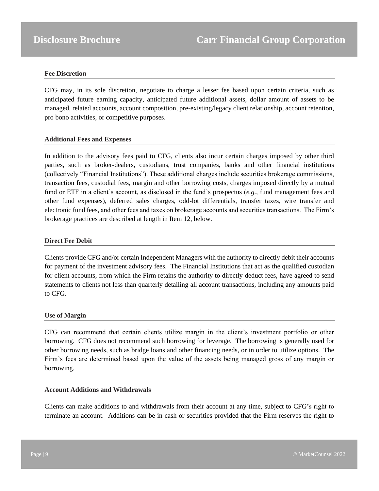#### **Fee Discretion**

CFG may, in its sole discretion, negotiate to charge a lesser fee based upon certain criteria, such as anticipated future earning capacity, anticipated future additional assets, dollar amount of assets to be managed, related accounts, account composition, pre-existing/legacy client relationship, account retention, pro bono activities, or competitive purposes.

#### **Additional Fees and Expenses**

In addition to the advisory fees paid to CFG, clients also incur certain charges imposed by other third parties, such as broker-dealers, custodians, trust companies, banks and other financial institutions (collectively "Financial Institutions"). These additional charges include securities brokerage commissions, transaction fees, custodial fees, margin and other borrowing costs, charges imposed directly by a mutual fund or ETF in a client's account, as disclosed in the fund's prospectus (*e.g.*, fund management fees and other fund expenses), deferred sales charges, odd-lot differentials, transfer taxes, wire transfer and electronic fund fees, and other fees and taxes on brokerage accounts and securities transactions. The Firm's brokerage practices are described at length in Item 12, below.

#### **Direct Fee Debit**

Clients provide CFG and/or certain Independent Managers with the authority to directly debit their accounts for payment of the investment advisory fees. The Financial Institutions that act as the qualified custodian for client accounts, from which the Firm retains the authority to directly deduct fees, have agreed to send statements to clients not less than quarterly detailing all account transactions, including any amounts paid to CFG.

#### **Use of Margin**

CFG can recommend that certain clients utilize margin in the client's investment portfolio or other borrowing. CFG does not recommend such borrowing for leverage. The borrowing is generally used for other borrowing needs, such as bridge loans and other financing needs, or in order to utilize options. The Firm's fees are determined based upon the value of the assets being managed gross of any margin or borrowing.

#### **Account Additions and Withdrawals**

Clients can make additions to and withdrawals from their account at any time, subject to CFG's right to terminate an account. Additions can be in cash or securities provided that the Firm reserves the right to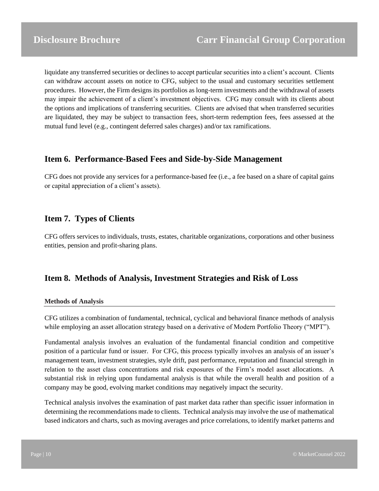liquidate any transferred securities or declines to accept particular securities into a client's account. Clients can withdraw account assets on notice to CFG, subject to the usual and customary securities settlement procedures. However, the Firm designs its portfolios as long-term investments and the withdrawal of assets may impair the achievement of a client's investment objectives. CFG may consult with its clients about the options and implications of transferring securities. Clients are advised that when transferred securities are liquidated, they may be subject to transaction fees, short-term redemption fees, fees assessed at the mutual fund level (e.g., contingent deferred sales charges) and/or tax ramifications.

### <span id="page-9-0"></span>**Item 6. Performance-Based Fees and Side-by-Side Management**

CFG does not provide any services for a performance-based fee (i.e., a fee based on a share of capital gains or capital appreciation of a client's assets).

### <span id="page-9-1"></span>**Item 7. Types of Clients**

CFG offers services to individuals, trusts, estates, charitable organizations, corporations and other business entities, pension and profit-sharing plans.

### <span id="page-9-2"></span>**Item 8. Methods of Analysis, Investment Strategies and Risk of Loss**

#### **Methods of Analysis**

CFG utilizes a combination of fundamental, technical, cyclical and behavioral finance methods of analysis while employing an asset allocation strategy based on a derivative of Modern Portfolio Theory ("MPT").

Fundamental analysis involves an evaluation of the fundamental financial condition and competitive position of a particular fund or issuer. For CFG, this process typically involves an analysis of an issuer's management team, investment strategies, style drift, past performance, reputation and financial strength in relation to the asset class concentrations and risk exposures of the Firm's model asset allocations. A substantial risk in relying upon fundamental analysis is that while the overall health and position of a company may be good, evolving market conditions may negatively impact the security.

Technical analysis involves the examination of past market data rather than specific issuer information in determining the recommendations made to clients. Technical analysis may involve the use of mathematical based indicators and charts, such as moving averages and price correlations, to identify market patterns and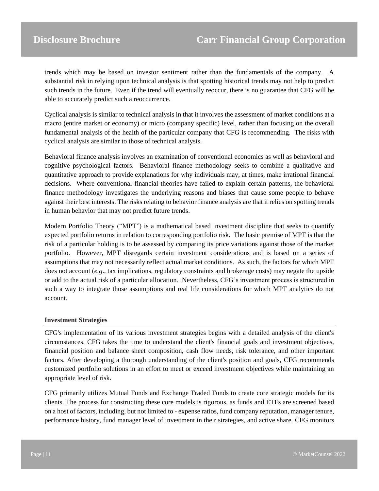trends which may be based on investor sentiment rather than the fundamentals of the company. A substantial risk in relying upon technical analysis is that spotting historical trends may not help to predict such trends in the future. Even if the trend will eventually reoccur, there is no guarantee that CFG will be able to accurately predict such a reoccurrence.

Cyclical analysis is similar to technical analysis in that it involves the assessment of market conditions at a macro (entire market or economy) or micro (company specific) level, rather than focusing on the overall fundamental analysis of the health of the particular company that CFG is recommending. The risks with cyclical analysis are similar to those of technical analysis.

Behavioral finance analysis involves an examination of conventional economics as well as behavioral and cognitive psychological factors. Behavioral finance methodology seeks to combine a qualitative and quantitative approach to provide explanations for why individuals may, at times, make irrational financial decisions. Where conventional financial theories have failed to explain certain patterns, the behavioral finance methodology investigates the underlying reasons and biases that cause some people to behave against their best interests. The risks relating to behavior finance analysis are that it relies on spotting trends in human behavior that may not predict future trends.

Modern Portfolio Theory ("MPT") is a mathematical based investment discipline that seeks to quantify expected portfolio returns in relation to corresponding portfolio risk. The basic premise of MPT is that the risk of a particular holding is to be assessed by comparing its price variations against those of the market portfolio. However, MPT disregards certain investment considerations and is based on a series of assumptions that may not necessarily reflect actual market conditions. As such, the factors for which MPT does not account (*e.g*., tax implications, regulatory constraints and brokerage costs) may negate the upside or add to the actual risk of a particular allocation. Nevertheless, CFG's investment process is structured in such a way to integrate those assumptions and real life considerations for which MPT analytics do not account.

#### **Investment Strategies**

CFG's implementation of its various investment strategies begins with a detailed analysis of the client's circumstances. CFG takes the time to understand the client's financial goals and investment objectives, financial position and balance sheet composition, cash flow needs, risk tolerance, and other important factors. After developing a thorough understanding of the client's position and goals, CFG recommends customized portfolio solutions in an effort to meet or exceed investment objectives while maintaining an appropriate level of risk.

CFG primarily utilizes Mutual Funds and Exchange Traded Funds to create core strategic models for its clients. The process for constructing these core models is rigorous, as funds and ETFs are screened based on a host of factors, including, but not limited to - expense ratios, fund company reputation, manager tenure, performance history, fund manager level of investment in their strategies, and active share. CFG monitors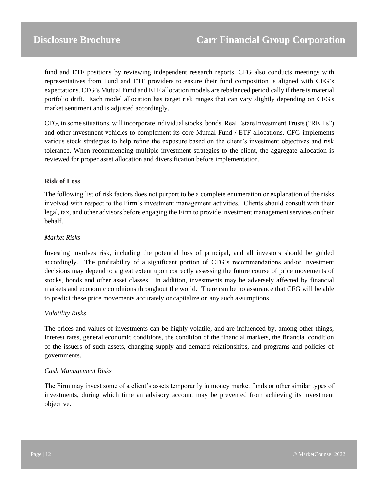fund and ETF positions by reviewing independent research reports. CFG also conducts meetings with representatives from Fund and ETF providers to ensure their fund composition is aligned with CFG's expectations. CFG's Mutual Fund and ETF allocation models are rebalanced periodically if there is material portfolio drift. Each model allocation has target risk ranges that can vary slightly depending on CFG's market sentiment and is adjusted accordingly.

CFG, in some situations, will incorporate individual stocks, bonds, Real Estate Investment Trusts ("REITs") and other investment vehicles to complement its core Mutual Fund / ETF allocations. CFG implements various stock strategies to help refine the exposure based on the client's investment objectives and risk tolerance. When recommending multiple investment strategies to the client, the aggregate allocation is reviewed for proper asset allocation and diversification before implementation.

#### **Risk of Loss**

The following list of risk factors does not purport to be a complete enumeration or explanation of the risks involved with respect to the Firm's investment management activities. Clients should consult with their legal, tax, and other advisors before engaging the Firm to provide investment management services on their behalf.

#### *Market Risks*

Investing involves risk, including the potential loss of principal, and all investors should be guided accordingly. The profitability of a significant portion of CFG's recommendations and/or investment decisions may depend to a great extent upon correctly assessing the future course of price movements of stocks, bonds and other asset classes. In addition, investments may be adversely affected by financial markets and economic conditions throughout the world. There can be no assurance that CFG will be able to predict these price movements accurately or capitalize on any such assumptions.

#### *Volatility Risks*

The prices and values of investments can be highly volatile, and are influenced by, among other things, interest rates, general economic conditions, the condition of the financial markets, the financial condition of the issuers of such assets, changing supply and demand relationships, and programs and policies of governments.

#### *Cash Management Risks*

The Firm may invest some of a client's assets temporarily in money market funds or other similar types of investments, during which time an advisory account may be prevented from achieving its investment objective.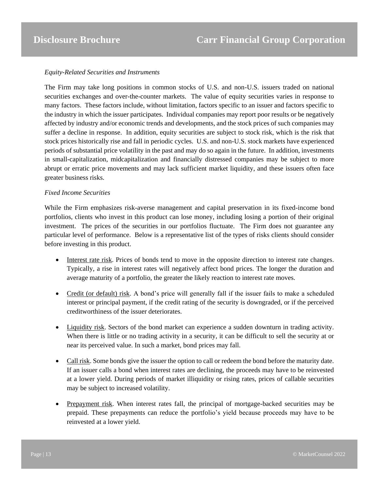### *Equity-Related Securities and Instruments*

The Firm may take long positions in common stocks of U.S. and non-U.S. issuers traded on national securities exchanges and over-the-counter markets. The value of equity securities varies in response to many factors. These factors include, without limitation, factors specific to an issuer and factors specific to the industry in which the issuer participates. Individual companies may report poor results or be negatively affected by industry and/or economic trends and developments, and the stock prices of such companies may suffer a decline in response. In addition, equity securities are subject to stock risk, which is the risk that stock prices historically rise and fall in periodic cycles. U.S. and non-U.S. stock markets have experienced periods of substantial price volatility in the past and may do so again in the future. In addition, investments in small-capitalization, midcapitalization and financially distressed companies may be subject to more abrupt or erratic price movements and may lack sufficient market liquidity, and these issuers often face greater business risks.

#### *Fixed Income Securities*

While the Firm emphasizes risk-averse management and capital preservation in its fixed-income bond portfolios, clients who invest in this product can lose money, including losing a portion of their original investment. The prices of the securities in our portfolios fluctuate. The Firm does not guarantee any particular level of performance. Below is a representative list of the types of risks clients should consider before investing in this product.

- Interest rate risk. Prices of bonds tend to move in the opposite direction to interest rate changes. Typically, a rise in interest rates will negatively affect bond prices. The longer the duration and average maturity of a portfolio, the greater the likely reaction to interest rate moves.
- Credit (or default) risk. A bond's price will generally fall if the issuer fails to make a scheduled interest or principal payment, if the credit rating of the security is downgraded, or if the perceived creditworthiness of the issuer deteriorates.
- Liquidity risk. Sectors of the bond market can experience a sudden downturn in trading activity. When there is little or no trading activity in a security, it can be difficult to sell the security at or near its perceived value. In such a market, bond prices may fall.
- Call risk. Some bonds give the issuer the option to call or redeem the bond before the maturity date. If an issuer calls a bond when interest rates are declining, the proceeds may have to be reinvested at a lower yield. During periods of market illiquidity or rising rates, prices of callable securities may be subject to increased volatility.
- Prepayment risk. When interest rates fall, the principal of mortgage-backed securities may be prepaid. These prepayments can reduce the portfolio's yield because proceeds may have to be reinvested at a lower yield.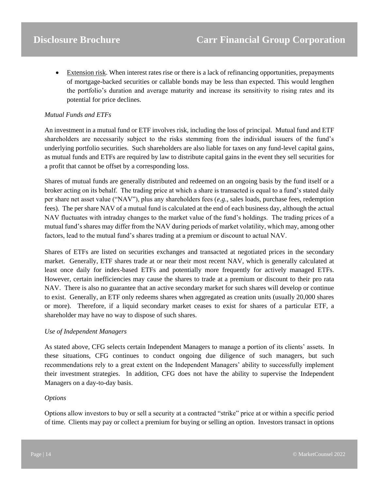• Extension risk. When interest rates rise or there is a lack of refinancing opportunities, prepayments of mortgage-backed securities or callable bonds may be less than expected. This would lengthen the portfolio's duration and average maturity and increase its sensitivity to rising rates and its potential for price declines.

#### *Mutual Funds and ETFs*

An investment in a mutual fund or ETF involves risk, including the loss of principal. Mutual fund and ETF shareholders are necessarily subject to the risks stemming from the individual issuers of the fund's underlying portfolio securities. Such shareholders are also liable for taxes on any fund-level capital gains, as mutual funds and ETFs are required by law to distribute capital gains in the event they sell securities for a profit that cannot be offset by a corresponding loss.

Shares of mutual funds are generally distributed and redeemed on an ongoing basis by the fund itself or a broker acting on its behalf. The trading price at which a share is transacted is equal to a fund's stated daily per share net asset value ("NAV"), plus any shareholders fees (*e.g*., sales loads, purchase fees, redemption fees). The per share NAV of a mutual fund is calculated at the end of each business day, although the actual NAV fluctuates with intraday changes to the market value of the fund's holdings. The trading prices of a mutual fund's shares may differ from the NAV during periods of market volatility, which may, among other factors, lead to the mutual fund's shares trading at a premium or discount to actual NAV.

Shares of ETFs are listed on securities exchanges and transacted at negotiated prices in the secondary market. Generally, ETF shares trade at or near their most recent NAV, which is generally calculated at least once daily for index-based ETFs and potentially more frequently for actively managed ETFs. However, certain inefficiencies may cause the shares to trade at a premium or discount to their pro rata NAV. There is also no guarantee that an active secondary market for such shares will develop or continue to exist. Generally, an ETF only redeems shares when aggregated as creation units (usually 20,000 shares or more). Therefore, if a liquid secondary market ceases to exist for shares of a particular ETF, a shareholder may have no way to dispose of such shares.

#### *Use of Independent Managers*

As stated above, CFG selects certain Independent Managers to manage a portion of its clients' assets. In these situations, CFG continues to conduct ongoing due diligence of such managers, but such recommendations rely to a great extent on the Independent Managers' ability to successfully implement their investment strategies. In addition, CFG does not have the ability to supervise the Independent Managers on a day-to-day basis.

#### *Options*

Options allow investors to buy or sell a security at a contracted "strike" price at or within a specific period of time. Clients may pay or collect a premium for buying or selling an option. Investors transact in options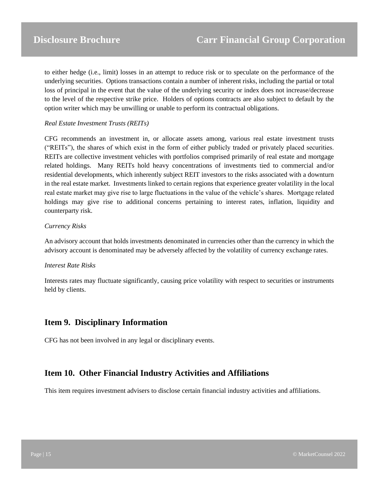to either hedge (i.e., limit) losses in an attempt to reduce risk or to speculate on the performance of the underlying securities. Options transactions contain a number of inherent risks, including the partial or total loss of principal in the event that the value of the underlying security or index does not increase/decrease to the level of the respective strike price. Holders of options contracts are also subject to default by the option writer which may be unwilling or unable to perform its contractual obligations.

### *Real Estate Investment Trusts (REITs)*

CFG recommends an investment in, or allocate assets among, various real estate investment trusts ("REITs"), the shares of which exist in the form of either publicly traded or privately placed securities. REITs are collective investment vehicles with portfolios comprised primarily of real estate and mortgage related holdings. Many REITs hold heavy concentrations of investments tied to commercial and/or residential developments, which inherently subject REIT investors to the risks associated with a downturn in the real estate market. Investments linked to certain regions that experience greater volatility in the local real estate market may give rise to large fluctuations in the value of the vehicle's shares. Mortgage related holdings may give rise to additional concerns pertaining to interest rates, inflation, liquidity and counterparty risk.

### *Currency Risks*

An advisory account that holds investments denominated in currencies other than the currency in which the advisory account is denominated may be adversely affected by the volatility of currency exchange rates.

### *Interest Rate Risks*

Interests rates may fluctuate significantly, causing price volatility with respect to securities or instruments held by clients.

### <span id="page-14-0"></span>**Item 9. Disciplinary Information**

CFG has not been involved in any legal or disciplinary events.

### <span id="page-14-1"></span>**Item 10. Other Financial Industry Activities and Affiliations**

This item requires investment advisers to disclose certain financial industry activities and affiliations.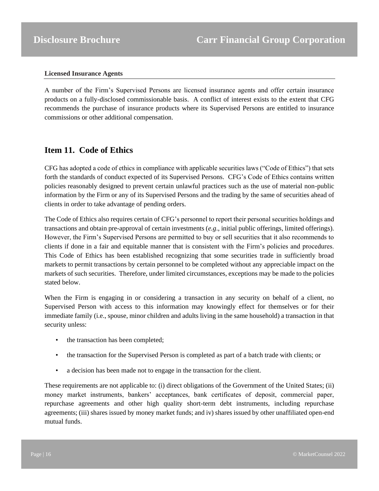#### **Licensed Insurance Agents**

A number of the Firm's Supervised Persons are licensed insurance agents and offer certain insurance products on a fully-disclosed commissionable basis. A conflict of interest exists to the extent that CFG recommends the purchase of insurance products where its Supervised Persons are entitled to insurance commissions or other additional compensation.

### <span id="page-15-0"></span>**Item 11. Code of Ethics**

CFG has adopted a code of ethics in compliance with applicable securities laws ("Code of Ethics") that sets forth the standards of conduct expected of its Supervised Persons. CFG's Code of Ethics contains written policies reasonably designed to prevent certain unlawful practices such as the use of material non-public information by the Firm or any of its Supervised Persons and the trading by the same of securities ahead of clients in order to take advantage of pending orders.

The Code of Ethics also requires certain of CFG's personnel to report their personal securities holdings and transactions and obtain pre-approval of certain investments (*e.g*., initial public offerings, limited offerings). However, the Firm's Supervised Persons are permitted to buy or sell securities that it also recommends to clients if done in a fair and equitable manner that is consistent with the Firm's policies and procedures. This Code of Ethics has been established recognizing that some securities trade in sufficiently broad markets to permit transactions by certain personnel to be completed without any appreciable impact on the markets of such securities. Therefore, under limited circumstances, exceptions may be made to the policies stated below.

When the Firm is engaging in or considering a transaction in any security on behalf of a client, no Supervised Person with access to this information may knowingly effect for themselves or for their immediate family (i.e., spouse, minor children and adults living in the same household) a transaction in that security unless:

- the transaction has been completed;
- the transaction for the Supervised Person is completed as part of a batch trade with clients; or
- a decision has been made not to engage in the transaction for the client.

These requirements are not applicable to: (i) direct obligations of the Government of the United States; (ii) money market instruments, bankers' acceptances, bank certificates of deposit, commercial paper, repurchase agreements and other high quality short-term debt instruments, including repurchase agreements; (iii) shares issued by money market funds; and iv) shares issued by other unaffiliated open-end mutual funds.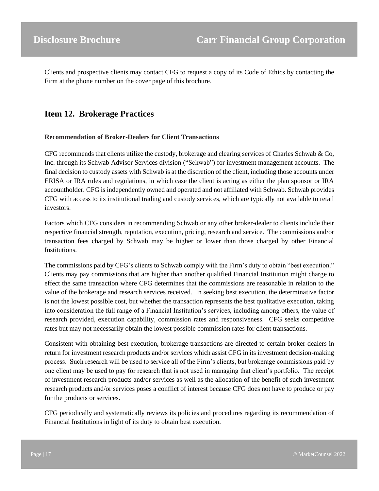Clients and prospective clients may contact CFG to request a copy of its Code of Ethics by contacting the Firm at the phone number on the cover page of this brochure.

## <span id="page-16-0"></span>**Item 12. Brokerage Practices**

### **Recommendation of Broker-Dealers for Client Transactions**

CFG recommends that clients utilize the custody, brokerage and clearing services of Charles Schwab  $\&$  Co, Inc. through its Schwab Advisor Services division ("Schwab") for investment management accounts. The final decision to custody assets with Schwab is at the discretion of the client, including those accounts under ERISA or IRA rules and regulations, in which case the client is acting as either the plan sponsor or IRA accountholder. CFG is independently owned and operated and not affiliated with Schwab. Schwab provides CFG with access to its institutional trading and custody services, which are typically not available to retail investors.

Factors which CFG considers in recommending Schwab or any other broker-dealer to clients include their respective financial strength, reputation, execution, pricing, research and service. The commissions and/or transaction fees charged by Schwab may be higher or lower than those charged by other Financial Institutions.

The commissions paid by CFG's clients to Schwab comply with the Firm's duty to obtain "best execution." Clients may pay commissions that are higher than another qualified Financial Institution might charge to effect the same transaction where CFG determines that the commissions are reasonable in relation to the value of the brokerage and research services received. In seeking best execution, the determinative factor is not the lowest possible cost, but whether the transaction represents the best qualitative execution, taking into consideration the full range of a Financial Institution's services, including among others, the value of research provided, execution capability, commission rates and responsiveness. CFG seeks competitive rates but may not necessarily obtain the lowest possible commission rates for client transactions.

Consistent with obtaining best execution, brokerage transactions are directed to certain broker-dealers in return for investment research products and/or services which assist CFG in its investment decision-making process. Such research will be used to service all of the Firm's clients, but brokerage commissions paid by one client may be used to pay for research that is not used in managing that client's portfolio. The receipt of investment research products and/or services as well as the allocation of the benefit of such investment research products and/or services poses a conflict of interest because CFG does not have to produce or pay for the products or services.

CFG periodically and systematically reviews its policies and procedures regarding its recommendation of Financial Institutions in light of its duty to obtain best execution.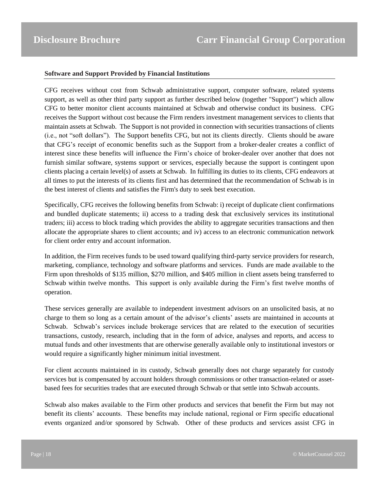#### **Software and Support Provided by Financial Institutions**

CFG receives without cost from Schwab administrative support, computer software, related systems support, as well as other third party support as further described below (together "Support") which allow CFG to better monitor client accounts maintained at Schwab and otherwise conduct its business. CFG receives the Support without cost because the Firm renders investment management services to clients that maintain assets at Schwab. The Support is not provided in connection with securities transactions of clients (i.e., not "soft dollars"). The Support benefits CFG, but not its clients directly. Clients should be aware that CFG's receipt of economic benefits such as the Support from a broker-dealer creates a conflict of interest since these benefits will influence the Firm's choice of broker-dealer over another that does not furnish similar software, systems support or services, especially because the support is contingent upon clients placing a certain level(s) of assets at Schwab. In fulfilling its duties to its clients, CFG endeavors at all times to put the interests of its clients first and has determined that the recommendation of Schwab is in the best interest of clients and satisfies the Firm's duty to seek best execution.

Specifically, CFG receives the following benefits from Schwab: i) receipt of duplicate client confirmations and bundled duplicate statements; ii) access to a trading desk that exclusively services its institutional traders; iii) access to block trading which provides the ability to aggregate securities transactions and then allocate the appropriate shares to client accounts; and iv) access to an electronic communication network for client order entry and account information.

In addition, the Firm receives funds to be used toward qualifying third-party service providers for research, marketing, compliance, technology and software platforms and services. Funds are made available to the Firm upon thresholds of \$135 million, \$270 million, and \$405 million in client assets being transferred to Schwab within twelve months. This support is only available during the Firm's first twelve months of operation.

These services generally are available to independent investment advisors on an unsolicited basis, at no charge to them so long as a certain amount of the advisor's clients' assets are maintained in accounts at Schwab. Schwab's services include brokerage services that are related to the execution of securities transactions, custody, research, including that in the form of advice, analyses and reports, and access to mutual funds and other investments that are otherwise generally available only to institutional investors or would require a significantly higher minimum initial investment.

For client accounts maintained in its custody, Schwab generally does not charge separately for custody services but is compensated by account holders through commissions or other transaction-related or assetbased fees for securities trades that are executed through Schwab or that settle into Schwab accounts.

Schwab also makes available to the Firm other products and services that benefit the Firm but may not benefit its clients' accounts. These benefits may include national, regional or Firm specific educational events organized and/or sponsored by Schwab. Other of these products and services assist CFG in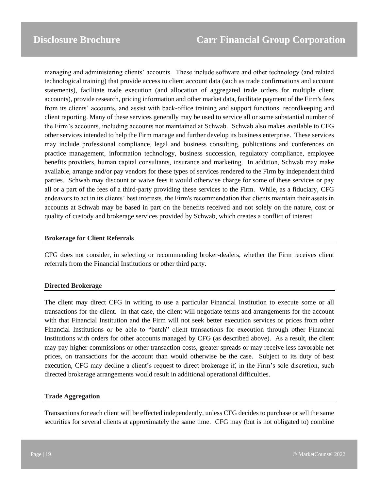managing and administering clients' accounts. These include software and other technology (and related technological training) that provide access to client account data (such as trade confirmations and account statements), facilitate trade execution (and allocation of aggregated trade orders for multiple client accounts), provide research, pricing information and other market data, facilitate payment of the Firm's fees from its clients' accounts, and assist with back-office training and support functions, recordkeeping and client reporting. Many of these services generally may be used to service all or some substantial number of the Firm's accounts, including accounts not maintained at Schwab. Schwab also makes available to CFG other services intended to help the Firm manage and further develop its business enterprise. These services may include professional compliance, legal and business consulting, publications and conferences on practice management, information technology, business succession, regulatory compliance, employee benefits providers, human capital consultants, insurance and marketing. In addition, Schwab may make available, arrange and/or pay vendors for these types of services rendered to the Firm by independent third parties. Schwab may discount or waive fees it would otherwise charge for some of these services or pay all or a part of the fees of a third-party providing these services to the Firm. While, as a fiduciary, CFG endeavors to act in its clients' best interests, the Firm's recommendation that clients maintain their assets in accounts at Schwab may be based in part on the benefits received and not solely on the nature, cost or quality of custody and brokerage services provided by Schwab, which creates a conflict of interest.

#### **Brokerage for Client Referrals**

CFG does not consider, in selecting or recommending broker-dealers, whether the Firm receives client referrals from the Financial Institutions or other third party.

#### **Directed Brokerage**

The client may direct CFG in writing to use a particular Financial Institution to execute some or all transactions for the client. In that case, the client will negotiate terms and arrangements for the account with that Financial Institution and the Firm will not seek better execution services or prices from other Financial Institutions or be able to "batch" client transactions for execution through other Financial Institutions with orders for other accounts managed by CFG (as described above). As a result, the client may pay higher commissions or other transaction costs, greater spreads or may receive less favorable net prices, on transactions for the account than would otherwise be the case. Subject to its duty of best execution, CFG may decline a client's request to direct brokerage if, in the Firm's sole discretion, such directed brokerage arrangements would result in additional operational difficulties.

#### **Trade Aggregation**

Transactions for each client will be effected independently, unless CFG decides to purchase or sell the same securities for several clients at approximately the same time. CFG may (but is not obligated to) combine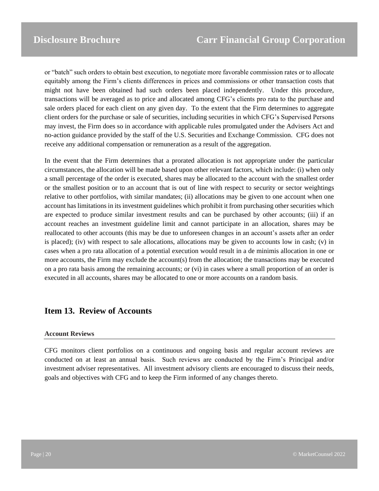or "batch" such orders to obtain best execution, to negotiate more favorable commission rates or to allocate equitably among the Firm's clients differences in prices and commissions or other transaction costs that might not have been obtained had such orders been placed independently. Under this procedure, transactions will be averaged as to price and allocated among CFG's clients pro rata to the purchase and sale orders placed for each client on any given day. To the extent that the Firm determines to aggregate client orders for the purchase or sale of securities, including securities in which CFG's Supervised Persons may invest, the Firm does so in accordance with applicable rules promulgated under the Advisers Act and no-action guidance provided by the staff of the U.S. Securities and Exchange Commission. CFG does not receive any additional compensation or remuneration as a result of the aggregation.

In the event that the Firm determines that a prorated allocation is not appropriate under the particular circumstances, the allocation will be made based upon other relevant factors, which include: (i) when only a small percentage of the order is executed, shares may be allocated to the account with the smallest order or the smallest position or to an account that is out of line with respect to security or sector weightings relative to other portfolios, with similar mandates; (ii) allocations may be given to one account when one account has limitations in its investment guidelines which prohibit it from purchasing other securities which are expected to produce similar investment results and can be purchased by other accounts; (iii) if an account reaches an investment guideline limit and cannot participate in an allocation, shares may be reallocated to other accounts (this may be due to unforeseen changes in an account's assets after an order is placed); (iv) with respect to sale allocations, allocations may be given to accounts low in cash; (v) in cases when a pro rata allocation of a potential execution would result in a de minimis allocation in one or more accounts, the Firm may exclude the account(s) from the allocation; the transactions may be executed on a pro rata basis among the remaining accounts; or (vi) in cases where a small proportion of an order is executed in all accounts, shares may be allocated to one or more accounts on a random basis.

### <span id="page-19-0"></span>**Item 13. Review of Accounts**

### **Account Reviews**

CFG monitors client portfolios on a continuous and ongoing basis and regular account reviews are conducted on at least an annual basis. Such reviews are conducted by the Firm's Principal and/or investment adviser representatives. All investment advisory clients are encouraged to discuss their needs, goals and objectives with CFG and to keep the Firm informed of any changes thereto.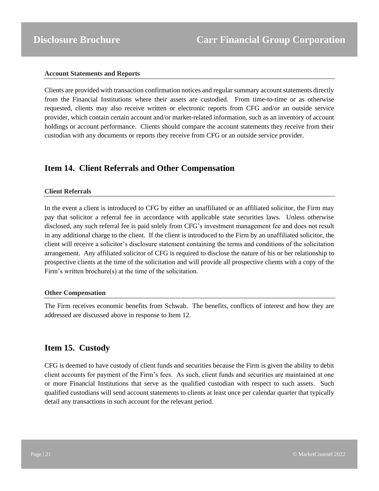#### **Account Statements and Reports**

Clients are provided with transaction confirmation notices and regular summary account statements directly from the Financial Institutions where their assets are custodied. From time-to-time or as otherwise requested, clients may also receive written or electronic reports from CFG and/or an outside service provider, which contain certain account and/or market-related information, such as an inventory of account holdings or account performance. Clients should compare the account statements they receive from their custodian with any documents or reports they receive from CFG or an outside service provider.

### <span id="page-20-0"></span>**Item 14. Client Referrals and Other Compensation**

### **Client Referrals**

In the event a client is introduced to CFG by either an unaffiliated or an affiliated solicitor, the Firm may pay that solicitor a referral fee in accordance with applicable state securities laws. Unless otherwise disclosed, any such referral fee is paid solely from CFG's investment management fee and does not result in any additional charge to the client. If the client is introduced to the Firm by an unaffiliated solicitor, the client will receive a solicitor's disclosure statement containing the terms and conditions of the solicitation arrangement. Any affiliated solicitor of CFG is required to disclose the nature of his or her relationship to prospective clients at the time of the solicitation and will provide all prospective clients with a copy of the Firm's written brochure(s) at the time of the solicitation.

#### **Other Compensation**

The Firm receives economic benefits from Schwab. The benefits, conflicts of interest and how they are addressed are discussed above in response to Item 12.

### <span id="page-20-1"></span>**Item 15. Custody**

CFG is deemed to have custody of client funds and securities because the Firm is given the ability to debit client accounts for payment of the Firm's fees. As such, client funds and securities are maintained at one or more Financial Institutions that serve as the qualified custodian with respect to such assets. Such qualified custodians will send account statements to clients at least once per calendar quarter that typically detail any transactions in such account for the relevant period.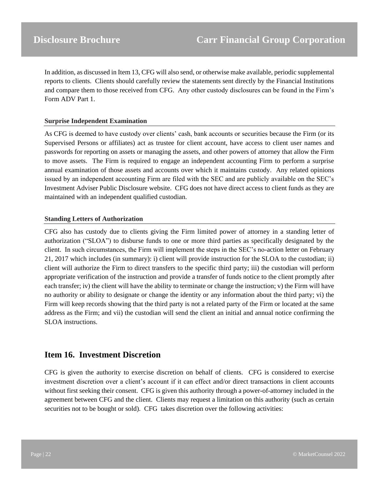In addition, as discussed in Item 13, CFG will also send, or otherwise make available, periodic supplemental reports to clients. Clients should carefully review the statements sent directly by the Financial Institutions and compare them to those received from CFG. Any other custody disclosures can be found in the Firm's Form ADV Part 1.

### **Surprise Independent Examination**

As CFG is deemed to have custody over clients' cash, bank accounts or securities because the Firm (or its Supervised Persons or affiliates) act as trustee for client account, have access to client user names and passwords for reporting on assets or managing the assets, and other powers of attorney that allow the Firm to move assets. The Firm is required to engage an independent accounting Firm to perform a surprise annual examination of those assets and accounts over which it maintains custody. Any related opinions issued by an independent accounting Firm are filed with the SEC and are publicly available on the SEC's Investment Adviser Public Disclosure website. CFG does not have direct access to client funds as they are maintained with an independent qualified custodian.

#### **Standing Letters of Authorization**

CFG also has custody due to clients giving the Firm limited power of attorney in a standing letter of authorization ("SLOA") to disburse funds to one or more third parties as specifically designated by the client. In such circumstances, the Firm will implement the steps in the SEC's no-action letter on February 21, 2017 which includes (in summary): i) client will provide instruction for the SLOA to the custodian; ii) client will authorize the Firm to direct transfers to the specific third party; iii) the custodian will perform appropriate verification of the instruction and provide a transfer of funds notice to the client promptly after each transfer; iv) the client will have the ability to terminate or change the instruction; v) the Firm will have no authority or ability to designate or change the identity or any information about the third party; vi) the Firm will keep records showing that the third party is not a related party of the Firm or located at the same address as the Firm; and vii) the custodian will send the client an initial and annual notice confirming the SLOA instructions.

### <span id="page-21-0"></span>**Item 16. Investment Discretion**

CFG is given the authority to exercise discretion on behalf of clients. CFG is considered to exercise investment discretion over a client's account if it can effect and/or direct transactions in client accounts without first seeking their consent. CFG is given this authority through a power-of-attorney included in the agreement between CFG and the client. Clients may request a limitation on this authority (such as certain securities not to be bought or sold). CFG takes discretion over the following activities: